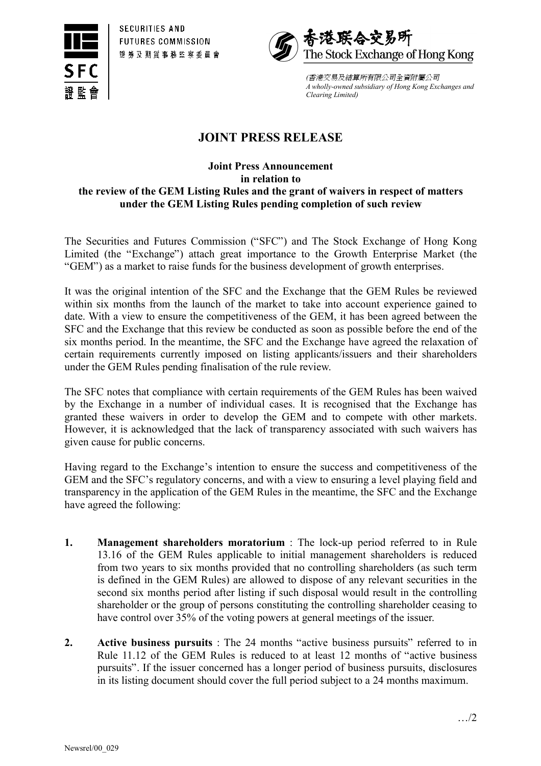



*(*香港交易及結算所㈲限公司全㈾附屬公司 *A wholly-owned subsidiary of Hong Kong Exchanges and Clearing Limited)*

## **JOINT PRESS RELEASE**

## **Joint Press Announcement in relation to the review of the GEM Listing Rules and the grant of waivers in respect of matters under the GEM Listing Rules pending completion of such review**

The Securities and Futures Commission ("SFC") and The Stock Exchange of Hong Kong Limited (the "Exchange") attach great importance to the Growth Enterprise Market (the "GEM") as a market to raise funds for the business development of growth enterprises.

It was the original intention of the SFC and the Exchange that the GEM Rules be reviewed within six months from the launch of the market to take into account experience gained to date. With a view to ensure the competitiveness of the GEM, it has been agreed between the SFC and the Exchange that this review be conducted as soon as possible before the end of the six months period. In the meantime, the SFC and the Exchange have agreed the relaxation of certain requirements currently imposed on listing applicants/issuers and their shareholders under the GEM Rules pending finalisation of the rule review.

The SFC notes that compliance with certain requirements of the GEM Rules has been waived by the Exchange in a number of individual cases. It is recognised that the Exchange has granted these waivers in order to develop the GEM and to compete with other markets. However, it is acknowledged that the lack of transparency associated with such waivers has given cause for public concerns.

Having regard to the Exchange's intention to ensure the success and competitiveness of the GEM and the SFC's regulatory concerns, and with a view to ensuring a level playing field and transparency in the application of the GEM Rules in the meantime, the SFC and the Exchange have agreed the following:

- **1. Management shareholders moratorium** : The lock-up period referred to in Rule 13.16 of the GEM Rules applicable to initial management shareholders is reduced from two years to six months provided that no controlling shareholders (as such term is defined in the GEM Rules) are allowed to dispose of any relevant securities in the second six months period after listing if such disposal would result in the controlling shareholder or the group of persons constituting the controlling shareholder ceasing to have control over 35% of the voting powers at general meetings of the issuer.
- **2. Active business pursuits** : The 24 months "active business pursuits" referred to in Rule 11.12 of the GEM Rules is reduced to at least 12 months of "active business pursuits". If the issuer concerned has a longer period of business pursuits, disclosures in its listing document should cover the full period subject to a 24 months maximum.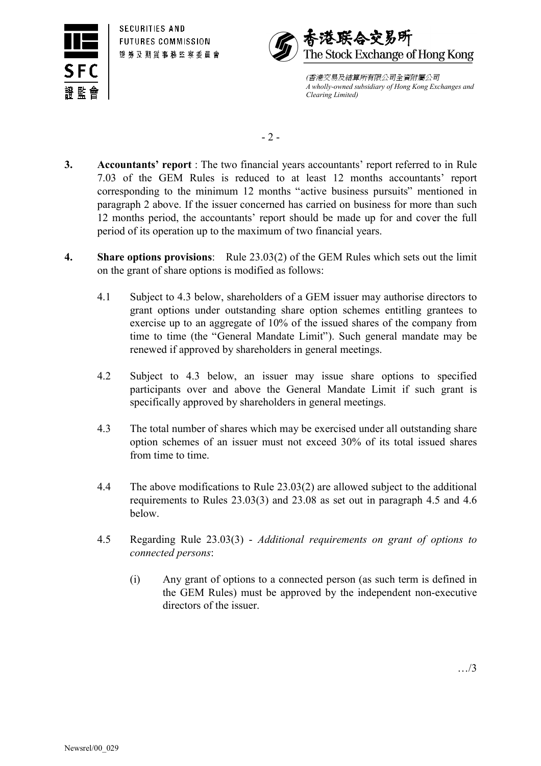



*(*香港交易及結算所㈲限公司全㈾附屬公司 *A wholly-owned subsidiary of Hong Kong Exchanges and Clearing Limited)*

 $-2-$ 

- **3. Accountants' report** : The two financial years accountants' report referred to in Rule 7.03 of the GEM Rules is reduced to at least 12 months accountants' report corresponding to the minimum 12 months "active business pursuits" mentioned in paragraph 2 above. If the issuer concerned has carried on business for more than such 12 months period, the accountants' report should be made up for and cover the full period of its operation up to the maximum of two financial years.
- **4. Share options provisions**: Rule 23.03(2) of the GEM Rules which sets out the limit on the grant of share options is modified as follows:
	- 4.1 Subject to 4.3 below, shareholders of a GEM issuer may authorise directors to grant options under outstanding share option schemes entitling grantees to exercise up to an aggregate of 10% of the issued shares of the company from time to time (the "General Mandate Limit"). Such general mandate may be renewed if approved by shareholders in general meetings.
	- 4.2 Subject to 4.3 below, an issuer may issue share options to specified participants over and above the General Mandate Limit if such grant is specifically approved by shareholders in general meetings.
	- 4.3 The total number of shares which may be exercised under all outstanding share option schemes of an issuer must not exceed 30% of its total issued shares from time to time.
	- 4.4 The above modifications to Rule 23.03(2) are allowed subject to the additional requirements to Rules 23.03(3) and 23.08 as set out in paragraph 4.5 and 4.6 below.
	- 4.5 Regarding Rule 23.03(3) *Additional requirements on grant of options to connected persons*:
		- (i) Any grant of options to a connected person (as such term is defined in the GEM Rules) must be approved by the independent non-executive directors of the issuer.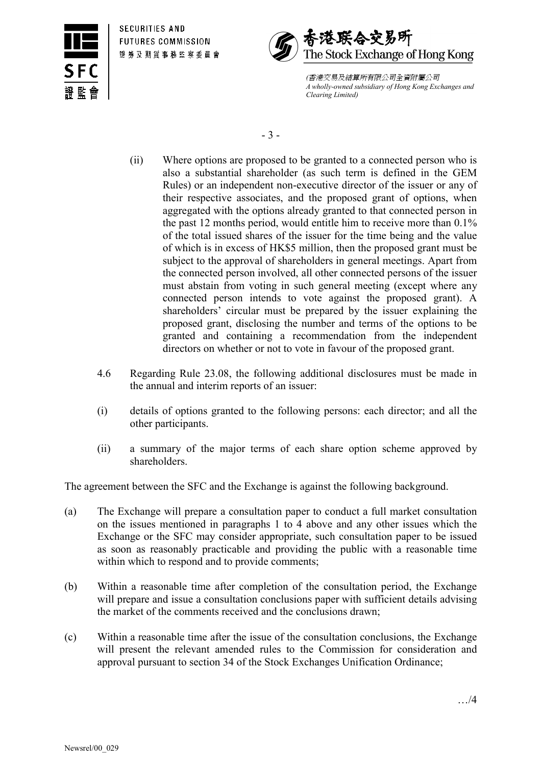



*(*香港交易及結算所㈲限公司全㈾附屬公司 *A wholly-owned subsidiary of Hong Kong Exchanges and Clearing Limited)*

- 3 -

- (ii) Where options are proposed to be granted to a connected person who is also a substantial shareholder (as such term is defined in the GEM Rules) or an independent non-executive director of the issuer or any of their respective associates, and the proposed grant of options, when aggregated with the options already granted to that connected person in the past 12 months period, would entitle him to receive more than 0.1% of the total issued shares of the issuer for the time being and the value of which is in excess of HK\$5 million, then the proposed grant must be subject to the approval of shareholders in general meetings. Apart from the connected person involved, all other connected persons of the issuer must abstain from voting in such general meeting (except where any connected person intends to vote against the proposed grant). A shareholders' circular must be prepared by the issuer explaining the proposed grant, disclosing the number and terms of the options to be granted and containing a recommendation from the independent directors on whether or not to vote in favour of the proposed grant.
- 4.6 Regarding Rule 23.08, the following additional disclosures must be made in the annual and interim reports of an issuer:
- (i) details of options granted to the following persons: each director; and all the other participants.
- (ii) a summary of the major terms of each share option scheme approved by shareholders.

The agreement between the SFC and the Exchange is against the following background.

- (a) The Exchange will prepare a consultation paper to conduct a full market consultation on the issues mentioned in paragraphs 1 to 4 above and any other issues which the Exchange or the SFC may consider appropriate, such consultation paper to be issued as soon as reasonably practicable and providing the public with a reasonable time within which to respond and to provide comments;
- (b) Within a reasonable time after completion of the consultation period, the Exchange will prepare and issue a consultation conclusions paper with sufficient details advising the market of the comments received and the conclusions drawn;
- (c) Within a reasonable time after the issue of the consultation conclusions, the Exchange will present the relevant amended rules to the Commission for consideration and approval pursuant to section 34 of the Stock Exchanges Unification Ordinance;